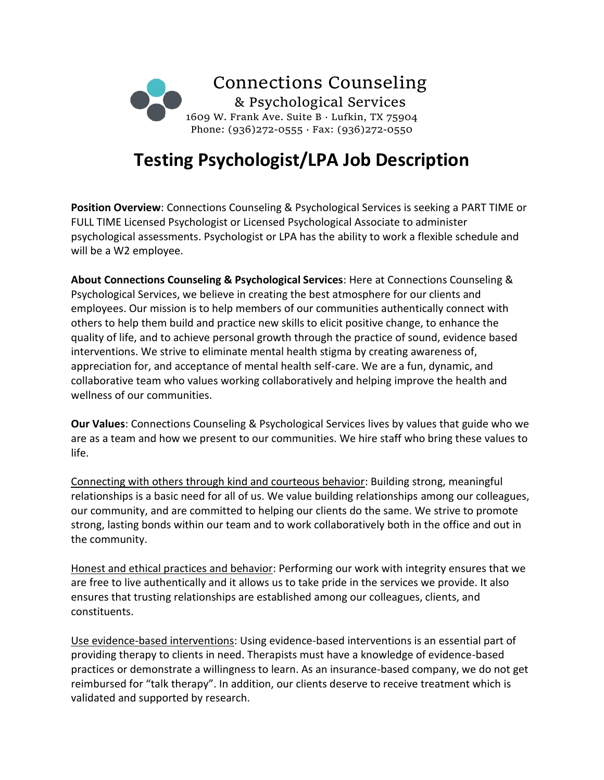

# **Testing Psychologist/LPA Job Description**

**Position Overview**: Connections Counseling & Psychological Services is seeking a PART TIME or FULL TIME Licensed Psychologist or Licensed Psychological Associate to administer psychological assessments. Psychologist or LPA has the ability to work a flexible schedule and will be a W2 employee.

**About Connections Counseling & Psychological Services**: Here at Connections Counseling & Psychological Services, we believe in creating the best atmosphere for our clients and employees. Our mission is to help members of our communities authentically connect with others to help them build and practice new skills to elicit positive change, to enhance the quality of life, and to achieve personal growth through the practice of sound, evidence based interventions. We strive to eliminate mental health stigma by creating awareness of, appreciation for, and acceptance of mental health self-care. We are a fun, dynamic, and collaborative team who values working collaboratively and helping improve the health and wellness of our communities.

**Our Values**: Connections Counseling & Psychological Services lives by values that guide who we are as a team and how we present to our communities. We hire staff who bring these values to life.

Connecting with others through kind and courteous behavior: Building strong, meaningful relationships is a basic need for all of us. We value building relationships among our colleagues, our community, and are committed to helping our clients do the same. We strive to promote strong, lasting bonds within our team and to work collaboratively both in the office and out in the community.

Honest and ethical practices and behavior: Performing our work with integrity ensures that we are free to live authentically and it allows us to take pride in the services we provide. It also ensures that trusting relationships are established among our colleagues, clients, and constituents.

Use evidence-based interventions: Using evidence-based interventions is an essential part of providing therapy to clients in need. Therapists must have a knowledge of evidence-based practices or demonstrate a willingness to learn. As an insurance-based company, we do not get reimbursed for "talk therapy". In addition, our clients deserve to receive treatment which is validated and supported by research.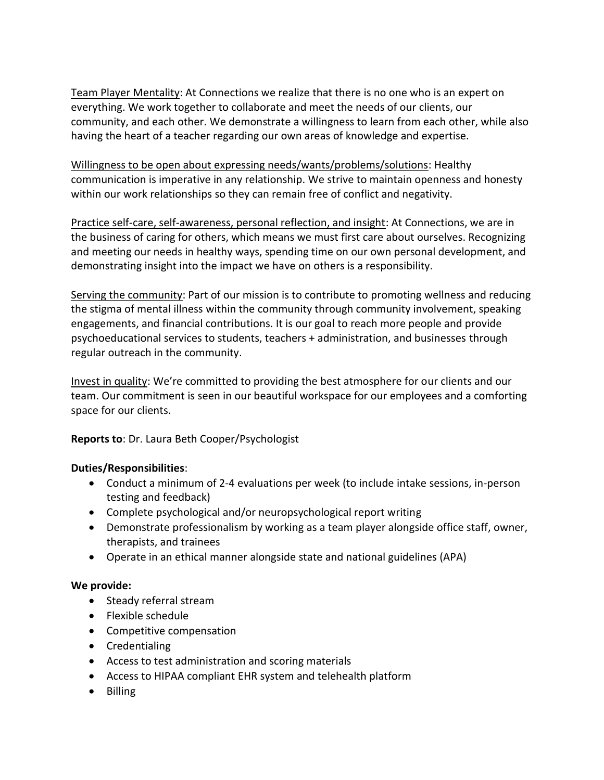Team Player Mentality: At Connections we realize that there is no one who is an expert on everything. We work together to collaborate and meet the needs of our clients, our community, and each other. We demonstrate a willingness to learn from each other, while also having the heart of a teacher regarding our own areas of knowledge and expertise.

Willingness to be open about expressing needs/wants/problems/solutions: Healthy communication is imperative in any relationship. We strive to maintain openness and honesty within our work relationships so they can remain free of conflict and negativity.

Practice self-care, self-awareness, personal reflection, and insight: At Connections, we are in the business of caring for others, which means we must first care about ourselves. Recognizing and meeting our needs in healthy ways, spending time on our own personal development, and demonstrating insight into the impact we have on others is a responsibility.

Serving the community: Part of our mission is to contribute to promoting wellness and reducing the stigma of mental illness within the community through community involvement, speaking engagements, and financial contributions. It is our goal to reach more people and provide psychoeducational services to students, teachers + administration, and businesses through regular outreach in the community.

Invest in quality: We're committed to providing the best atmosphere for our clients and our team. Our commitment is seen in our beautiful workspace for our employees and a comforting space for our clients.

## **Reports to**: Dr. Laura Beth Cooper/Psychologist

## **Duties/Responsibilities**:

- Conduct a minimum of 2-4 evaluations per week (to include intake sessions, in-person testing and feedback)
- Complete psychological and/or neuropsychological report writing
- Demonstrate professionalism by working as a team player alongside office staff, owner, therapists, and trainees
- Operate in an ethical manner alongside state and national guidelines (APA)

#### **We provide:**

- Steady referral stream
- Flexible schedule
- Competitive compensation
- Credentialing
- Access to test administration and scoring materials
- Access to HIPAA compliant EHR system and telehealth platform
- Billing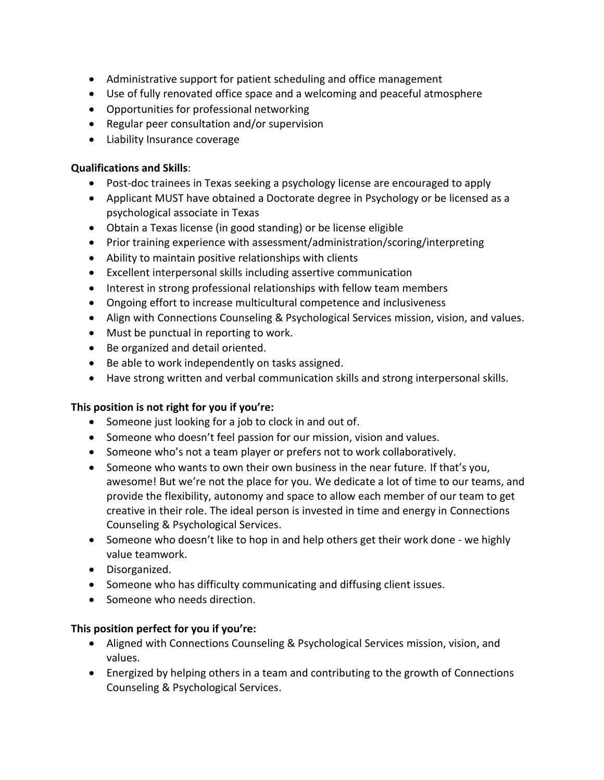- Administrative support for patient scheduling and office management
- Use of fully renovated office space and a welcoming and peaceful atmosphere
- Opportunities for professional networking
- Regular peer consultation and/or supervision
- Liability Insurance coverage

## **Qualifications and Skills**:

- Post-doc trainees in Texas seeking a psychology license are encouraged to apply
- Applicant MUST have obtained a Doctorate degree in Psychology or be licensed as a psychological associate in Texas
- Obtain a Texas license (in good standing) or be license eligible
- Prior training experience with assessment/administration/scoring/interpreting
- Ability to maintain positive relationships with clients
- Excellent interpersonal skills including assertive communication
- Interest in strong professional relationships with fellow team members
- Ongoing effort to increase multicultural competence and inclusiveness
- Align with Connections Counseling & Psychological Services mission, vision, and values.
- Must be punctual in reporting to work.
- Be organized and detail oriented.
- Be able to work independently on tasks assigned.
- Have strong written and verbal communication skills and strong interpersonal skills.

## **This position is not right for you if you're:**

- Someone just looking for a job to clock in and out of.
- Someone who doesn't feel passion for our mission, vision and values.
- Someone who's not a team player or prefers not to work collaboratively.
- Someone who wants to own their own business in the near future. If that's you, awesome! But we're not the place for you. We dedicate a lot of time to our teams, and provide the flexibility, autonomy and space to allow each member of our team to get creative in their role. The ideal person is invested in time and energy in Connections Counseling & Psychological Services.
- Someone who doesn't like to hop in and help others get their work done we highly value teamwork.
- Disorganized.
- Someone who has difficulty communicating and diffusing client issues.
- Someone who needs direction.

## **This position perfect for you if you're:**

- Aligned with Connections Counseling & Psychological Services mission, vision, and values.
- Energized by helping others in a team and contributing to the growth of Connections Counseling & Psychological Services.